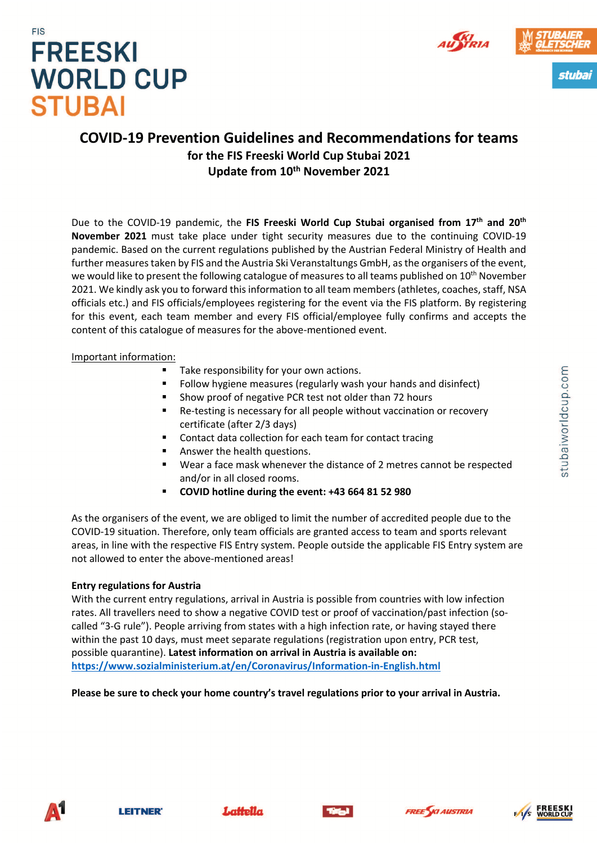







### **COVID-19 Prevention Guidelines and Recommendations for teams for the FIS Freeski World Cup Stubai 2021 Update from 10th November 2021**

Due to the COVID-19 pandemic, the **FIS Freeski World Cup Stubai organised from 17th and 20th November 2021** must take place under tight security measures due to the continuing COVID-19 pandemic. Based on the current regulations published by the Austrian Federal Ministry of Health and further measures taken by FIS and the Austria Ski Veranstaltungs GmbH, as the organisers of the event, we would like to present the following catalogue of measures to all teams published on  $10^{th}$  November 2021. We kindly ask you to forward this information to all team members (athletes, coaches, staff, NSA officials etc.) and FIS officials/employees registering for the event via the FIS platform. By registering for this event, each team member and every FIS official/employee fully confirms and accepts the content of this catalogue of measures for the above-mentioned event.

#### Important information:

- Take responsibility for your own actions.
- Follow hygiene measures (regularly wash your hands and disinfect)
- § Show proof of negative PCR test not older than 72 hours
- Re-testing is necessary for all people without vaccination or recovery certificate (after 2/3 days)
- § Contact data collection for each team for contact tracing
- § Answer the health questions.
- Wear a face mask whenever the distance of 2 metres cannot be respected and/or in all closed rooms.
- § **COVID hotline during the event: +43 664 81 52 980**

As the organisers of the event, we are obliged to limit the number of accredited people due to the COVID-19 situation. Therefore, only team officials are granted access to team and sports relevant areas, in line with the respective FIS Entry system. People outside the applicable FIS Entry system are not allowed to enter the above-mentioned areas!

#### **Entry regulations for Austria**

With the current entry regulations, arrival in Austria is possible from countries with low infection rates. All travellers need to show a negative COVID test or proof of vaccination/past infection (socalled "3-G rule"). People arriving from states with a high infection rate, or having stayed there within the past 10 days, must meet separate regulations (registration upon entry, PCR test, possible quarantine). **Latest information on arrival in Austria is available on: https://www.sozialministerium.at/en/Coronavirus/Information-in-English.html**

#### **Please be sure to check your home country's travel regulations prior to your arrival in Austria.**









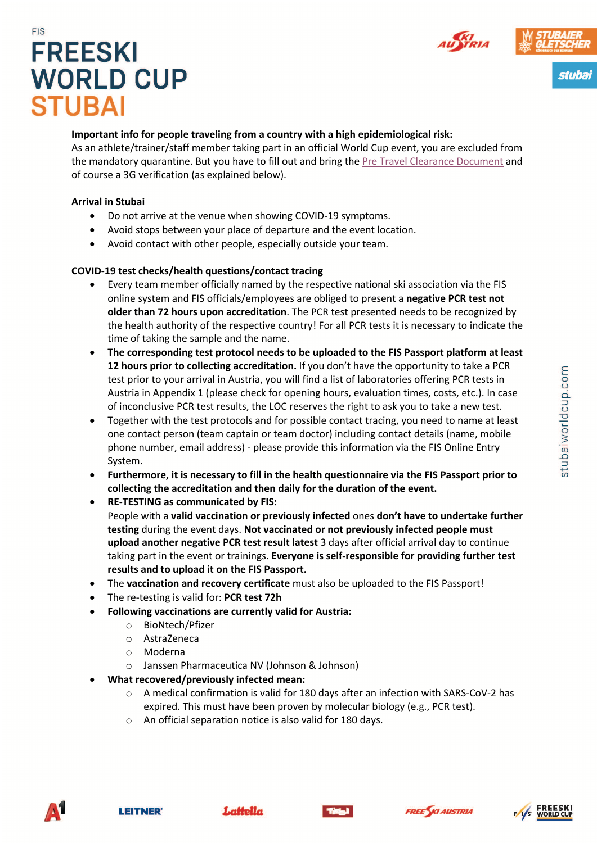



stubai

# **FIS FREESKI WORLD CUP STUBAI**

#### **Important info for people traveling from a country with a high epidemiological risk:**

As an athlete/trainer/staff member taking part in an official World Cup event, you are excluded from the mandatory quarantine. But you have to fill out and bring the Pre Travel Clearance Document and of course a 3G verification (as explained below).

#### **Arrival in Stubai**

- Do not arrive at the venue when showing COVID-19 symptoms.
- Avoid stops between your place of departure and the event location.
- Avoid contact with other people, especially outside your team.

#### **COVID-19 test checks/health questions/contact tracing**

- Every team member officially named by the respective national ski association via the FIS online system and FIS officials/employees are obliged to present a **negative PCR test not older than 72 hours upon accreditation**. The PCR test presented needs to be recognized by the health authority of the respective country! For all PCR tests it is necessary to indicate the time of taking the sample and the name.
- **The corresponding test protocol needs to be uploaded to the FIS Passport platform at least 12 hours prior to collecting accreditation.** If you don't have the opportunity to take a PCR test prior to your arrival in Austria, you will find a list of laboratories offering PCR tests in Austria in Appendix 1 (please check for opening hours, evaluation times, costs, etc.). In case of inconclusive PCR test results, the LOC reserves the right to ask you to take a new test.
- Together with the test protocols and for possible contact tracing, you need to name at least one contact person (team captain or team doctor) including contact details (name, mobile phone number, email address) - please provide this information via the FIS Online Entry System.
- **Furthermore, it is necessary to fill in the health questionnaire via the FIS Passport prior to collecting the accreditation and then daily for the duration of the event.**
- **RE-TESTING as communicated by FIS:**  People with a **valid vaccination or previously infected** ones **don't have to undertake further testing** during the event days. **Not vaccinated or not previously infected people must upload another negative PCR test result latest** 3 days after official arrival day to continue taking part in the event or trainings. **Everyone is self-responsible for providing further test results and to upload it on the FIS Passport.**
- The **vaccination and recovery certificate** must also be uploaded to the FIS Passport!
- The re-testing is valid for: **PCR test 72h**
- **Following vaccinations are currently valid for Austria:**
	- o BioNtech/Pfizer
	- o AstraZeneca
	- o Moderna
	- o Janssen Pharmaceutica NV (Johnson & Johnson)
- **What recovered/previously infected mean:** 
	- o A medical confirmation is valid for 180 days after an infection with SARS-CoV-2 has expired. This must have been proven by molecular biology (e.g., PCR test).
	- o An official separation notice is also valid for 180 days.









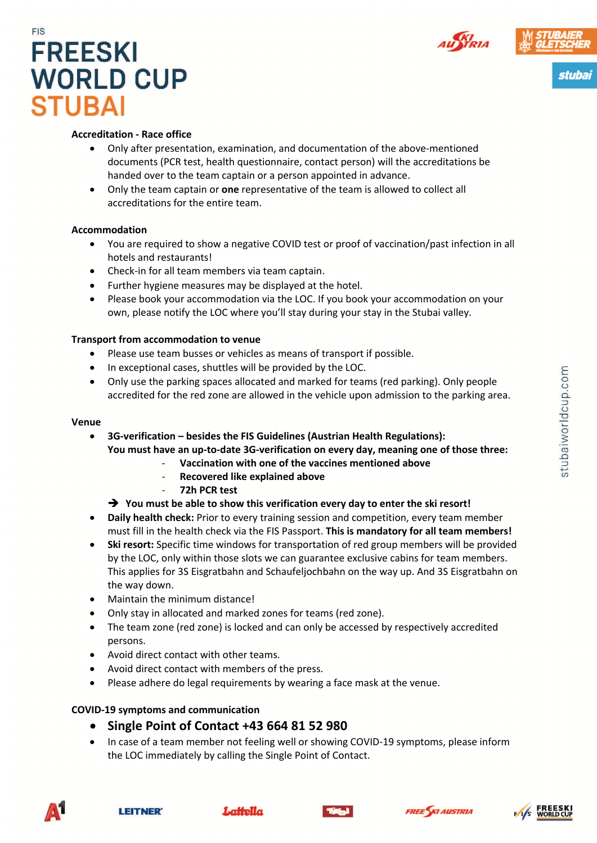



stubai

## **FIS FREESKI WORLD CUP STUBAI**

#### **Accreditation - Race office**

- Only after presentation, examination, and documentation of the above-mentioned documents (PCR test, health questionnaire, contact person) will the accreditations be handed over to the team captain or a person appointed in advance.
- Only the team captain or **one** representative of the team is allowed to collect all accreditations for the entire team.

#### **Accommodation**

- You are required to show a negative COVID test or proof of vaccination/past infection in all hotels and restaurants!
- Check-in for all team members via team captain.
- Further hygiene measures may be displayed at the hotel.
- Please book your accommodation via the LOC. If you book your accommodation on your own, please notify the LOC where you'll stay during your stay in the Stubai valley.

#### **Transport from accommodation to venue**

- Please use team busses or vehicles as means of transport if possible.
- In exceptional cases, shuttles will be provided by the LOC.
- Only use the parking spaces allocated and marked for teams (red parking). Only people accredited for the red zone are allowed in the vehicle upon admission to the parking area.

#### **Venue**

• **3G-verification – besides the FIS Guidelines (Austrian Health Regulations): You must have an up-to-date 3G-verification on every day, meaning one of those three:**

- **Vaccination with one of the vaccines mentioned above**
- **Recovered like explained above**
- **72h PCR test**
- → You must be able to show this verification every day to enter the ski resort!
- **Daily health check:** Prior to every training session and competition, every team member must fill in the health check via the FIS Passport. **This is mandatory for all team members!**
- **Ski resort:** Specific time windows for transportation of red group members will be provided by the LOC, only within those slots we can guarantee exclusive cabins for team members. This applies for 3S Eisgratbahn and Schaufeljochbahn on the way up. And 3S Eisgratbahn on the way down.
- Maintain the minimum distance!
- Only stay in allocated and marked zones for teams (red zone).
- The team zone (red zone) is locked and can only be accessed by respectively accredited persons.
- Avoid direct contact with other teams.
- Avoid direct contact with members of the press.
- Please adhere do legal requirements by wearing a face mask at the venue.

#### **COVID-19 symptoms and communication**

### • **Single Point of Contact +43 664 81 52 980**

• In case of a team member not feeling well or showing COVID-19 symptoms, please inform the LOC immediately by calling the Single Point of Contact.











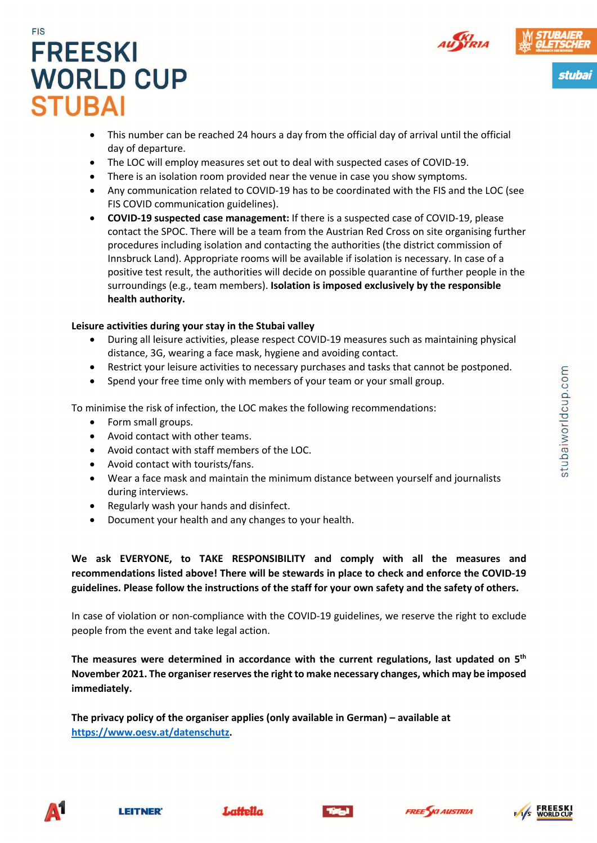



stubai

## **FIS FREESKI WORLD CUP STUBAI**

- This number can be reached 24 hours a day from the official day of arrival until the official day of departure.
- The LOC will employ measures set out to deal with suspected cases of COVID-19.
- There is an isolation room provided near the venue in case you show symptoms.
- Any communication related to COVID-19 has to be coordinated with the FIS and the LOC (see FIS COVID communication guidelines).
- **COVID-19 suspected case management:** If there is a suspected case of COVID-19, please contact the SPOC. There will be a team from the Austrian Red Cross on site organising further procedures including isolation and contacting the authorities (the district commission of Innsbruck Land). Appropriate rooms will be available if isolation is necessary. In case of a positive test result, the authorities will decide on possible quarantine of further people in the surroundings (e.g., team members). **Isolation is imposed exclusively by the responsible health authority.**

#### **Leisure activities during your stay in the Stubai valley**

- During all leisure activities, please respect COVID-19 measures such as maintaining physical distance, 3G, wearing a face mask, hygiene and avoiding contact.
- Restrict your leisure activities to necessary purchases and tasks that cannot be postponed.
- Spend your free time only with members of your team or your small group.

To minimise the risk of infection, the LOC makes the following recommendations:

- Form small groups.
- Avoid contact with other teams.
- Avoid contact with staff members of the LOC.
- Avoid contact with tourists/fans.
- Wear a face mask and maintain the minimum distance between yourself and journalists during interviews.
- Regularly wash your hands and disinfect.
- Document your health and any changes to your health.

**We ask EVERYONE, to TAKE RESPONSIBILITY and comply with all the measures and recommendations listed above! There will be stewards in place to check and enforce the COVID-19 guidelines. Please follow the instructions of the staff for your own safety and the safety of others.**

In case of violation or non-compliance with the COVID-19 guidelines, we reserve the right to exclude people from the event and take legal action.

**The measures were determined in accordance with the current regulations, last updated on 5th November 2021. The organiser reserves the right to make necessary changes, which may be imposed immediately.** 

**The privacy policy of the organiser applies (only available in German) – available at https://www.oesv.at/datenschutz.**